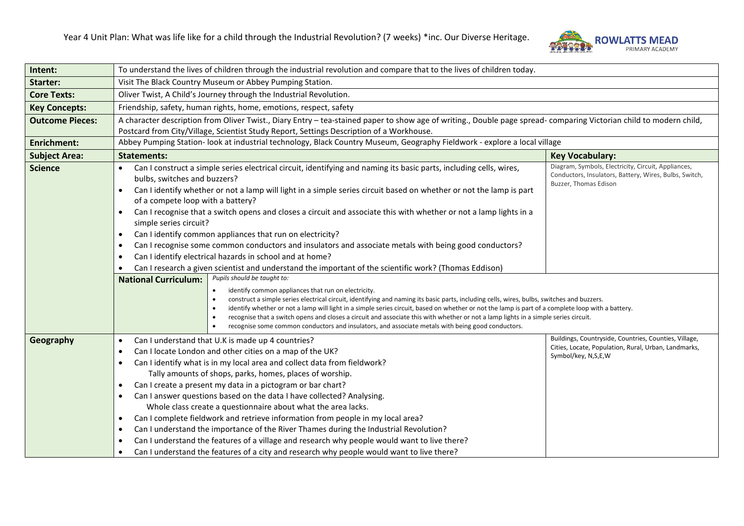

| Intent:                | To understand the lives of children through the industrial revolution and compare that to the lives of children today.                                                                                                                                                                                                                                                                                                                                                                                                                                                                                                                                                                                                                                                                                                                                                                                                             |                                                                                                                                        |  |  |
|------------------------|------------------------------------------------------------------------------------------------------------------------------------------------------------------------------------------------------------------------------------------------------------------------------------------------------------------------------------------------------------------------------------------------------------------------------------------------------------------------------------------------------------------------------------------------------------------------------------------------------------------------------------------------------------------------------------------------------------------------------------------------------------------------------------------------------------------------------------------------------------------------------------------------------------------------------------|----------------------------------------------------------------------------------------------------------------------------------------|--|--|
| <b>Starter:</b>        | Visit The Black Country Museum or Abbey Pumping Station.                                                                                                                                                                                                                                                                                                                                                                                                                                                                                                                                                                                                                                                                                                                                                                                                                                                                           |                                                                                                                                        |  |  |
| <b>Core Texts:</b>     | Oliver Twist, A Child's Journey through the Industrial Revolution.                                                                                                                                                                                                                                                                                                                                                                                                                                                                                                                                                                                                                                                                                                                                                                                                                                                                 |                                                                                                                                        |  |  |
| <b>Key Concepts:</b>   | Friendship, safety, human rights, home, emotions, respect, safety                                                                                                                                                                                                                                                                                                                                                                                                                                                                                                                                                                                                                                                                                                                                                                                                                                                                  |                                                                                                                                        |  |  |
| <b>Outcome Pieces:</b> | A character description from Oliver Twist., Diary Entry - tea-stained paper to show age of writing., Double page spread- comparing Victorian child to modern child,                                                                                                                                                                                                                                                                                                                                                                                                                                                                                                                                                                                                                                                                                                                                                                |                                                                                                                                        |  |  |
|                        | Postcard from City/Village, Scientist Study Report, Settings Description of a Workhouse.                                                                                                                                                                                                                                                                                                                                                                                                                                                                                                                                                                                                                                                                                                                                                                                                                                           |                                                                                                                                        |  |  |
| <b>Enrichment:</b>     | Abbey Pumping Station- look at industrial technology, Black Country Museum, Geography Fieldwork - explore a local village                                                                                                                                                                                                                                                                                                                                                                                                                                                                                                                                                                                                                                                                                                                                                                                                          |                                                                                                                                        |  |  |
| <b>Subject Area:</b>   | <b>Statements:</b><br><b>Key Vocabulary:</b>                                                                                                                                                                                                                                                                                                                                                                                                                                                                                                                                                                                                                                                                                                                                                                                                                                                                                       |                                                                                                                                        |  |  |
| <b>Science</b>         | Can I construct a simple series electrical circuit, identifying and naming its basic parts, including cells, wires,<br>bulbs, switches and buzzers?<br>Can I identify whether or not a lamp will light in a simple series circuit based on whether or not the lamp is part<br>of a compete loop with a battery?<br>Can I recognise that a switch opens and closes a circuit and associate this with whether or not a lamp lights in a<br>$\bullet$<br>simple series circuit?<br>Can I identify common appliances that run on electricity?<br>$\bullet$<br>Can I recognise some common conductors and insulators and associate metals with being good conductors?<br>$\bullet$<br>Can I identify electrical hazards in school and at home?<br>$\bullet$<br>Can I research a given scientist and understand the important of the scientific work? (Thomas Eddison)                                                                   | Diagram, Symbols, Electricity, Circuit, Appliances,<br>Conductors, Insulators, Battery, Wires, Bulbs, Switch,<br>Buzzer, Thomas Edison |  |  |
|                        | Pupils should be taught to:<br><b>National Curriculum:</b><br>identify common appliances that run on electricity.<br>construct a simple series electrical circuit, identifying and naming its basic parts, including cells, wires, bulbs, switches and buzzers.<br>identify whether or not a lamp will light in a simple series circuit, based on whether or not the lamp is part of a complete loop with a battery.<br>$\bullet$<br>recognise that a switch opens and closes a circuit and associate this with whether or not a lamp lights in a simple series circuit.<br>$\bullet$<br>recognise some common conductors and insulators, and associate metals with being good conductors.                                                                                                                                                                                                                                         |                                                                                                                                        |  |  |
| Geography              | Can I understand that U.K is made up 4 countries?<br>$\bullet$<br>Can I locate London and other cities on a map of the UK?<br>$\bullet$<br>Can I identify what is in my local area and collect data from fieldwork?<br>Tally amounts of shops, parks, homes, places of worship.<br>Can I create a present my data in a pictogram or bar chart?<br>$\bullet$<br>Can I answer questions based on the data I have collected? Analysing.<br>$\bullet$<br>Whole class create a questionnaire about what the area lacks.<br>Can I complete fieldwork and retrieve information from people in my local area?<br>$\bullet$<br>Can I understand the importance of the River Thames during the Industrial Revolution?<br>$\bullet$<br>Can I understand the features of a village and research why people would want to live there?<br>Can I understand the features of a city and research why people would want to live there?<br>$\bullet$ | Buildings, Countryside, Countries, Counties, Village,<br>Cities, Locate, Population, Rural, Urban, Landmarks,<br>Symbol/key, N,S,E,W   |  |  |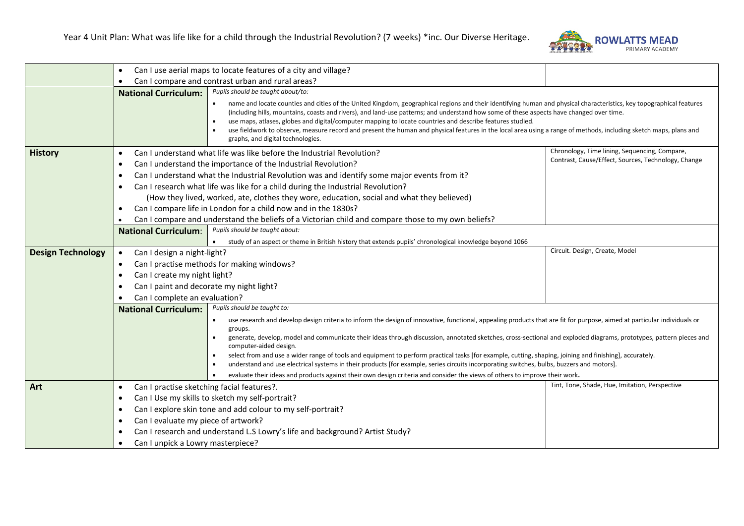

|                          | $\bullet$                                               | Can I use aerial maps to locate features of a city and village?                                                                                                                                                                                                                                                                                                                                                                                                                                                                                                                                                                                      |                                                |  |
|--------------------------|---------------------------------------------------------|------------------------------------------------------------------------------------------------------------------------------------------------------------------------------------------------------------------------------------------------------------------------------------------------------------------------------------------------------------------------------------------------------------------------------------------------------------------------------------------------------------------------------------------------------------------------------------------------------------------------------------------------------|------------------------------------------------|--|
|                          |                                                         | Can I compare and contrast urban and rural areas?                                                                                                                                                                                                                                                                                                                                                                                                                                                                                                                                                                                                    |                                                |  |
|                          | <b>National Curriculum:</b>                             | Pupils should be taught about/to:                                                                                                                                                                                                                                                                                                                                                                                                                                                                                                                                                                                                                    |                                                |  |
|                          |                                                         | name and locate counties and cities of the United Kingdom, geographical regions and their identifying human and physical characteristics, key topographical features<br>(including hills, mountains, coasts and rivers), and land-use patterns; and understand how some of these aspects have changed over time.<br>use maps, atlases, globes and digital/computer mapping to locate countries and describe features studied.<br>$\bullet$<br>use fieldwork to observe, measure record and present the human and physical features in the local area using a range of methods, including sketch maps, plans and<br>graphs, and digital technologies. |                                                |  |
| <b>History</b>           | $\bullet$                                               | Chronology, Time lining, Sequencing, Compare,<br>Can I understand what life was like before the Industrial Revolution?                                                                                                                                                                                                                                                                                                                                                                                                                                                                                                                               |                                                |  |
|                          | $\bullet$                                               | Contrast, Cause/Effect, Sources, Technology, Change<br>Can I understand the importance of the Industrial Revolution?                                                                                                                                                                                                                                                                                                                                                                                                                                                                                                                                 |                                                |  |
|                          | $\bullet$                                               | Can I understand what the Industrial Revolution was and identify some major events from it?                                                                                                                                                                                                                                                                                                                                                                                                                                                                                                                                                          |                                                |  |
|                          | $\bullet$                                               | Can I research what life was like for a child during the Industrial Revolution?                                                                                                                                                                                                                                                                                                                                                                                                                                                                                                                                                                      |                                                |  |
|                          |                                                         | (How they lived, worked, ate, clothes they wore, education, social and what they believed)                                                                                                                                                                                                                                                                                                                                                                                                                                                                                                                                                           |                                                |  |
|                          | $\bullet$                                               | Can I compare life in London for a child now and in the 1830s?                                                                                                                                                                                                                                                                                                                                                                                                                                                                                                                                                                                       |                                                |  |
|                          |                                                         | Can I compare and understand the beliefs of a Victorian child and compare those to my own beliefs?                                                                                                                                                                                                                                                                                                                                                                                                                                                                                                                                                   |                                                |  |
|                          | <b>National Curriculum:</b>                             | Pupils should be taught about:                                                                                                                                                                                                                                                                                                                                                                                                                                                                                                                                                                                                                       |                                                |  |
|                          |                                                         | study of an aspect or theme in British history that extends pupils' chronological knowledge beyond 1066                                                                                                                                                                                                                                                                                                                                                                                                                                                                                                                                              |                                                |  |
| <b>Design Technology</b> | Can I design a night-light?<br>$\bullet$                |                                                                                                                                                                                                                                                                                                                                                                                                                                                                                                                                                                                                                                                      | Circuit. Design, Create, Model                 |  |
|                          | $\bullet$                                               | Can I practise methods for making windows?                                                                                                                                                                                                                                                                                                                                                                                                                                                                                                                                                                                                           |                                                |  |
|                          | Can I create my night light?<br>$\bullet$               |                                                                                                                                                                                                                                                                                                                                                                                                                                                                                                                                                                                                                                                      |                                                |  |
|                          |                                                         | Can I paint and decorate my night light?                                                                                                                                                                                                                                                                                                                                                                                                                                                                                                                                                                                                             |                                                |  |
|                          | Can I complete an evaluation?                           |                                                                                                                                                                                                                                                                                                                                                                                                                                                                                                                                                                                                                                                      |                                                |  |
|                          | <b>National Curriculum:</b>                             | Pupils should be taught to:                                                                                                                                                                                                                                                                                                                                                                                                                                                                                                                                                                                                                          |                                                |  |
|                          |                                                         | use research and develop design criteria to inform the design of innovative, functional, appealing products that are fit for purpose, aimed at particular individuals or<br>$\bullet$<br>groups.                                                                                                                                                                                                                                                                                                                                                                                                                                                     |                                                |  |
|                          |                                                         | generate, develop, model and communicate their ideas through discussion, annotated sketches, cross-sectional and exploded diagrams, prototypes, pattern pieces and<br>computer-aided design.                                                                                                                                                                                                                                                                                                                                                                                                                                                         |                                                |  |
|                          |                                                         | select from and use a wider range of tools and equipment to perform practical tasks [for example, cutting, shaping, joining and finishing], accurately.<br>understand and use electrical systems in their products [for example, series circuits incorporating switches, bulbs, buzzers and motors].                                                                                                                                                                                                                                                                                                                                                 |                                                |  |
|                          |                                                         | evaluate their ideas and products against their own design criteria and consider the views of others to improve their work.<br>$\bullet$                                                                                                                                                                                                                                                                                                                                                                                                                                                                                                             |                                                |  |
| Art                      | Can I practise sketching facial features?.<br>$\bullet$ |                                                                                                                                                                                                                                                                                                                                                                                                                                                                                                                                                                                                                                                      | Tint, Tone, Shade, Hue, Imitation, Perspective |  |
|                          | $\bullet$                                               | Can I Use my skills to sketch my self-portrait?                                                                                                                                                                                                                                                                                                                                                                                                                                                                                                                                                                                                      |                                                |  |
|                          | ٠                                                       | Can I explore skin tone and add colour to my self-portrait?                                                                                                                                                                                                                                                                                                                                                                                                                                                                                                                                                                                          |                                                |  |
|                          | Can I evaluate my piece of artwork?<br>$\bullet$        |                                                                                                                                                                                                                                                                                                                                                                                                                                                                                                                                                                                                                                                      |                                                |  |
|                          |                                                         | Can I research and understand L.S Lowry's life and background? Artist Study?                                                                                                                                                                                                                                                                                                                                                                                                                                                                                                                                                                         |                                                |  |
|                          | Can I unpick a Lowry masterpiece?<br>$\bullet$          |                                                                                                                                                                                                                                                                                                                                                                                                                                                                                                                                                                                                                                                      |                                                |  |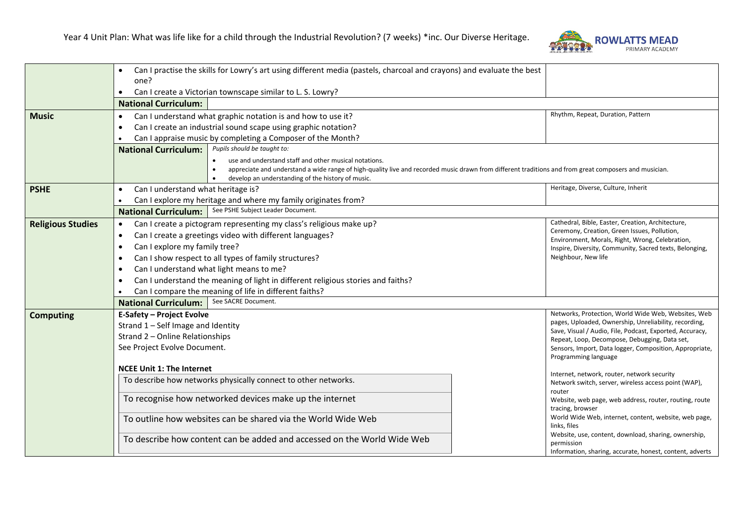

|                          | Can I practise the skills for Lowry's art using different media (pastels, charcoal and crayons) and evaluate the best                                   |                                                                                                                   |  |  |
|--------------------------|---------------------------------------------------------------------------------------------------------------------------------------------------------|-------------------------------------------------------------------------------------------------------------------|--|--|
|                          | one?                                                                                                                                                    |                                                                                                                   |  |  |
|                          | Can I create a Victorian townscape similar to L. S. Lowry?<br>$\bullet$                                                                                 |                                                                                                                   |  |  |
|                          | <b>National Curriculum:</b>                                                                                                                             |                                                                                                                   |  |  |
| <b>Music</b>             | Can I understand what graphic notation is and how to use it?<br>$\bullet$                                                                               | Rhythm, Repeat, Duration, Pattern                                                                                 |  |  |
|                          | Can I create an industrial sound scape using graphic notation?<br>$\bullet$<br>Can I appraise music by completing a Composer of the Month?<br>$\bullet$ |                                                                                                                   |  |  |
|                          |                                                                                                                                                         |                                                                                                                   |  |  |
|                          | Pupils should be taught to:<br><b>National Curriculum:</b>                                                                                              |                                                                                                                   |  |  |
|                          | use and understand staff and other musical notations.                                                                                                   |                                                                                                                   |  |  |
|                          | appreciate and understand a wide range of high-quality live and recorded music drawn from different traditions and from great composers and musician.   |                                                                                                                   |  |  |
|                          | develop an understanding of the history of music.                                                                                                       |                                                                                                                   |  |  |
| <b>PSHE</b>              | Can I understand what heritage is?<br>$\bullet$                                                                                                         | Heritage, Diverse, Culture, Inherit                                                                               |  |  |
|                          | Can I explore my heritage and where my family originates from?                                                                                          |                                                                                                                   |  |  |
|                          | See PSHE Subject Leader Document.<br><b>National Curriculum:</b>                                                                                        |                                                                                                                   |  |  |
| <b>Religious Studies</b> | Can I create a pictogram representing my class's religious make up?<br>$\bullet$                                                                        | Cathedral, Bible, Easter, Creation, Architecture,                                                                 |  |  |
|                          | Can I create a greetings video with different languages?<br>$\bullet$                                                                                   | Ceremony, Creation, Green Issues, Pollution,<br>Environment, Morals, Right, Wrong, Celebration,                   |  |  |
|                          | Can I explore my family tree?<br>$\bullet$                                                                                                              | Inspire, Diversity, Community, Sacred texts, Belonging,                                                           |  |  |
|                          | Can I show respect to all types of family structures?<br>$\bullet$                                                                                      | Neighbour, New life                                                                                               |  |  |
|                          | Can I understand what light means to me?<br>$\bullet$                                                                                                   |                                                                                                                   |  |  |
|                          | Can I understand the meaning of light in different religious stories and faiths?<br>$\bullet$                                                           |                                                                                                                   |  |  |
|                          | Can I compare the meaning of life in different faiths?                                                                                                  |                                                                                                                   |  |  |
|                          | See SACRE Document.<br><b>National Curriculum:</b>                                                                                                      |                                                                                                                   |  |  |
| <b>Computing</b>         | Networks, Protection, World Wide Web, Websites, Web<br>E-Safety - Project Evolve                                                                        |                                                                                                                   |  |  |
|                          | Strand 1 - Self Image and Identity                                                                                                                      | pages, Uploaded, Ownership, Unreliability, recording,<br>Save, Visual / Audio, File, Podcast, Exported, Accuracy, |  |  |
|                          | Strand 2 - Online Relationships                                                                                                                         | Repeat, Loop, Decompose, Debugging, Data set,                                                                     |  |  |
|                          | See Project Evolve Document.                                                                                                                            | Sensors, Import, Data logger, Composition, Appropriate,                                                           |  |  |
|                          | Programming language                                                                                                                                    |                                                                                                                   |  |  |
|                          | <b>NCEE Unit 1: The Internet</b>                                                                                                                        | Internet, network, router, network security                                                                       |  |  |
|                          | To describe how networks physically connect to other networks.                                                                                          | Network switch, server, wireless access point (WAP),                                                              |  |  |
|                          |                                                                                                                                                         | router                                                                                                            |  |  |
|                          | To recognise how networked devices make up the internet                                                                                                 | Website, web page, web address, router, routing, route                                                            |  |  |
|                          |                                                                                                                                                         | tracing, browser<br>World Wide Web, internet, content, website, web page,                                         |  |  |
|                          | To outline how websites can be shared via the World Wide Web                                                                                            | links, files                                                                                                      |  |  |
|                          | To describe how content can be added and accessed on the World Wide Web                                                                                 | Website, use, content, download, sharing, ownership,                                                              |  |  |
|                          |                                                                                                                                                         | permission                                                                                                        |  |  |
|                          |                                                                                                                                                         | Information, sharing, accurate, honest, content, adverts                                                          |  |  |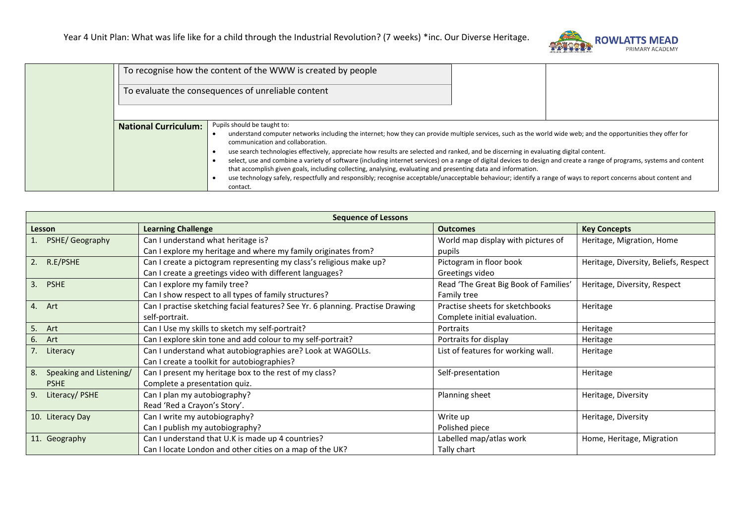

|                             | To recognise how the content of the WWW is created by people                                                                                                                                                                                                                                                                                                                                                                                                                                                                                                                                                                           |  |  |
|-----------------------------|----------------------------------------------------------------------------------------------------------------------------------------------------------------------------------------------------------------------------------------------------------------------------------------------------------------------------------------------------------------------------------------------------------------------------------------------------------------------------------------------------------------------------------------------------------------------------------------------------------------------------------------|--|--|
|                             | To evaluate the consequences of unreliable content                                                                                                                                                                                                                                                                                                                                                                                                                                                                                                                                                                                     |  |  |
| <b>National Curriculum:</b> | Pupils should be taught to:                                                                                                                                                                                                                                                                                                                                                                                                                                                                                                                                                                                                            |  |  |
|                             | understand computer networks including the internet; how they can provide multiple services, such as the world wide web; and the opportunities they offer for<br>communication and collaboration.<br>use search technologies effectively, appreciate how results are selected and ranked, and be discerning in evaluating digital content.<br>select, use and combine a variety of software (including internet services) on a range of digital devices to design and create a range of programs, systems and content<br>that accomplish given goals, including collecting, analysing, evaluating and presenting data and information. |  |  |
|                             |                                                                                                                                                                                                                                                                                                                                                                                                                                                                                                                                                                                                                                        |  |  |
|                             |                                                                                                                                                                                                                                                                                                                                                                                                                                                                                                                                                                                                                                        |  |  |
|                             | use technology safely, respectfully and responsibly; recognise acceptable/unacceptable behaviour; identify a range of ways to report concerns about content and<br>contact.                                                                                                                                                                                                                                                                                                                                                                                                                                                            |  |  |

| <b>Sequence of Lessons</b>    |                                                                                |                                       |                                       |
|-------------------------------|--------------------------------------------------------------------------------|---------------------------------------|---------------------------------------|
| Lesson                        | <b>Learning Challenge</b>                                                      | <b>Outcomes</b>                       | <b>Key Concepts</b>                   |
| PSHE/ Geography               | Can I understand what heritage is?                                             | World map display with pictures of    | Heritage, Migration, Home             |
|                               | Can I explore my heritage and where my family originates from?                 | pupils                                |                                       |
| 2. R.E/PSHE                   | Can I create a pictogram representing my class's religious make up?            | Pictogram in floor book               | Heritage, Diversity, Beliefs, Respect |
|                               | Can I create a greetings video with different languages?                       | Greetings video                       |                                       |
| 3.<br><b>PSHE</b>             | Can I explore my family tree?                                                  | Read 'The Great Big Book of Families' | Heritage, Diversity, Respect          |
|                               | Can I show respect to all types of family structures?                          | Family tree                           |                                       |
| 4. Art                        | Can I practise sketching facial features? See Yr. 6 planning. Practise Drawing | Practise sheets for sketchbooks       | Heritage                              |
|                               | self-portrait.                                                                 | Complete initial evaluation.          |                                       |
| 5. Art                        | Can I Use my skills to sketch my self-portrait?                                | Portraits                             | Heritage                              |
| 6. Art                        | Can I explore skin tone and add colour to my self-portrait?                    | Portraits for display                 | Heritage                              |
| 7. Literacy                   | Can I understand what autobiographies are? Look at WAGOLLs.                    | List of features for working wall.    | Heritage                              |
|                               | Can I create a toolkit for autobiographies?                                    |                                       |                                       |
| Speaking and Listening/<br>8. | Can I present my heritage box to the rest of my class?                         | Self-presentation                     | Heritage                              |
| <b>PSHE</b>                   | Complete a presentation quiz.                                                  |                                       |                                       |
| Literacy/PSHE<br>9.           | Can I plan my autobiography?                                                   | Planning sheet                        | Heritage, Diversity                   |
|                               | Read 'Red a Crayon's Story'.                                                   |                                       |                                       |
| 10. Literacy Day              | Can I write my autobiography?                                                  | Write up                              | Heritage, Diversity                   |
|                               | Can I publish my autobiography?                                                | Polished piece                        |                                       |
| 11. Geography                 | Can I understand that U.K is made up 4 countries?                              | Labelled map/atlas work               | Home, Heritage, Migration             |
|                               | Can I locate London and other cities on a map of the UK?                       | Tally chart                           |                                       |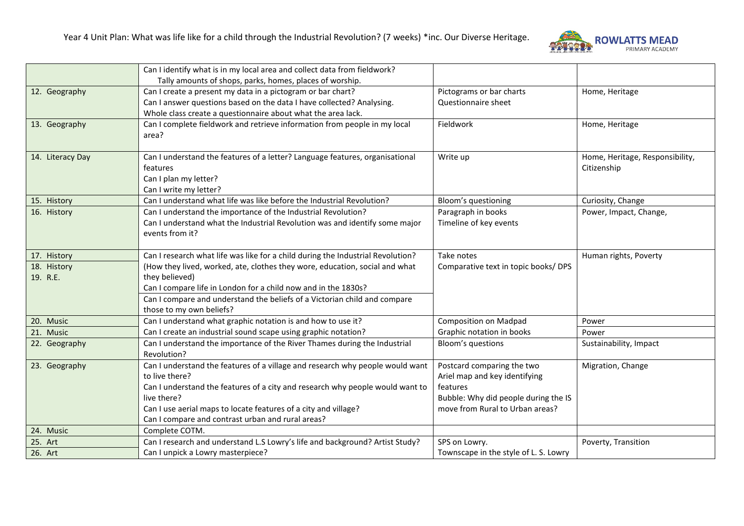

|                  | Can I identify what is in my local area and collect data from fieldwork?        |                                       |                                 |
|------------------|---------------------------------------------------------------------------------|---------------------------------------|---------------------------------|
|                  | Tally amounts of shops, parks, homes, places of worship.                        |                                       |                                 |
| 12. Geography    | Can I create a present my data in a pictogram or bar chart?                     | Pictograms or bar charts              | Home, Heritage                  |
|                  | Can I answer questions based on the data I have collected? Analysing.           | Questionnaire sheet                   |                                 |
|                  | Whole class create a questionnaire about what the area lack.                    |                                       |                                 |
| 13. Geography    | Can I complete fieldwork and retrieve information from people in my local       | Fieldwork                             | Home, Heritage                  |
|                  | area?                                                                           |                                       |                                 |
|                  |                                                                                 |                                       |                                 |
| 14. Literacy Day | Can I understand the features of a letter? Language features, organisational    | Write up                              | Home, Heritage, Responsibility, |
|                  | features                                                                        |                                       | Citizenship                     |
|                  | Can I plan my letter?                                                           |                                       |                                 |
|                  | Can I write my letter?                                                          |                                       |                                 |
| 15. History      | Can I understand what life was like before the Industrial Revolution?           | Bloom's questioning                   | Curiosity, Change               |
| 16. History      | Can I understand the importance of the Industrial Revolution?                   | Paragraph in books                    | Power, Impact, Change,          |
|                  | Can I understand what the Industrial Revolution was and identify some major     | Timeline of key events                |                                 |
|                  | events from it?                                                                 |                                       |                                 |
|                  |                                                                                 |                                       |                                 |
| 17. History      | Can I research what life was like for a child during the Industrial Revolution? | Take notes                            | Human rights, Poverty           |
| 18. History      | (How they lived, worked, ate, clothes they wore, education, social and what     | Comparative text in topic books/DPS   |                                 |
| 19. R.E.         | they believed)                                                                  |                                       |                                 |
|                  | Can I compare life in London for a child now and in the 1830s?                  |                                       |                                 |
|                  | Can I compare and understand the beliefs of a Victorian child and compare       |                                       |                                 |
|                  | those to my own beliefs?                                                        |                                       |                                 |
| 20. Music        | Can I understand what graphic notation is and how to use it?                    | <b>Composition on Madpad</b>          | Power                           |
| 21. Music        | Can I create an industrial sound scape using graphic notation?                  | Graphic notation in books             | Power                           |
| 22. Geography    | Can I understand the importance of the River Thames during the Industrial       | Bloom's questions                     | Sustainability, Impact          |
|                  | Revolution?                                                                     |                                       |                                 |
| 23. Geography    | Can I understand the features of a village and research why people would want   | Postcard comparing the two            | Migration, Change               |
|                  | to live there?                                                                  | Ariel map and key identifying         |                                 |
|                  | Can I understand the features of a city and research why people would want to   | features                              |                                 |
|                  | live there?                                                                     | Bubble: Why did people during the IS  |                                 |
|                  | Can I use aerial maps to locate features of a city and village?                 | move from Rural to Urban areas?       |                                 |
|                  | Can I compare and contrast urban and rural areas?                               |                                       |                                 |
| 24. Music        | Complete COTM.                                                                  |                                       |                                 |
| 25. Art          | Can I research and understand L.S Lowry's life and background? Artist Study?    | SPS on Lowry.                         | Poverty, Transition             |
| 26. Art          | Can I unpick a Lowry masterpiece?                                               | Townscape in the style of L. S. Lowry |                                 |